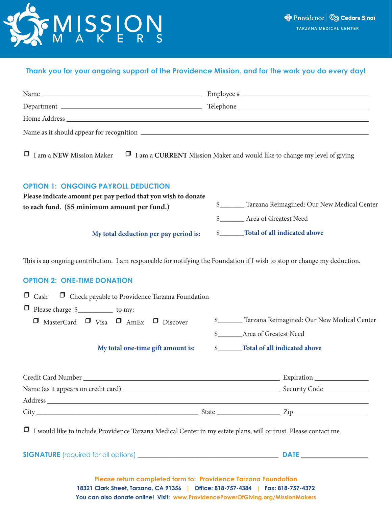

### **Thank you for your ongoing support of the Providence Mission, and for the work you do every day!**

| <b>I</b> I am a NEW Mission Maker <b>I</b> I am a CURRENT Mission Maker and would like to change my level of giving                                                                                                                                     |                                                                                                           |  |
|---------------------------------------------------------------------------------------------------------------------------------------------------------------------------------------------------------------------------------------------------------|-----------------------------------------------------------------------------------------------------------|--|
| <b>OPTION 1: ONGOING PAYROLL DEDUCTION</b><br>Please indicate amount per pay period that you wish to donate                                                                                                                                             | \$_______ Tarzana Reimagined: Our New Medical Center                                                      |  |
| to each fund. (\$5 minimum amount per fund.)                                                                                                                                                                                                            |                                                                                                           |  |
|                                                                                                                                                                                                                                                         | \$__________ Area of Greatest Need                                                                        |  |
| My total deduction per pay period is:                                                                                                                                                                                                                   | \$ Total of all indicated above                                                                           |  |
| <b>OPTION 2: ONE-TIME DONATION</b><br><b>D</b> Check payable to Providence Tarzana Foundation<br>$\Box$ Cash<br>□ Please charge \$____________ to my:<br>$\Box$ MasterCard $\Box$ Visa $\Box$ AmEx $\Box$ Discover<br>My total one-time gift amount is: | Tarzana Reimagined: Our New Medical Center<br>\$ Area of Greatest Need<br>\$ Total of all indicated above |  |
|                                                                                                                                                                                                                                                         |                                                                                                           |  |
|                                                                                                                                                                                                                                                         |                                                                                                           |  |
|                                                                                                                                                                                                                                                         |                                                                                                           |  |
|                                                                                                                                                                                                                                                         |                                                                                                           |  |
| I would like to include Providence Tarzana Medical Center in my estate plans, will or trust. Please contact me.                                                                                                                                         |                                                                                                           |  |
|                                                                                                                                                                                                                                                         |                                                                                                           |  |
| Please return completed form to: Providence Tarzana Foundation<br>18321 Clark Street, Tarzana, CA 91356   Office: 818-757-4384   Fax: 818-757-4372                                                                                                      |                                                                                                           |  |

**You can also donate online! Visit: www.ProvidencePowerOfGiving.org/MissionMakers**